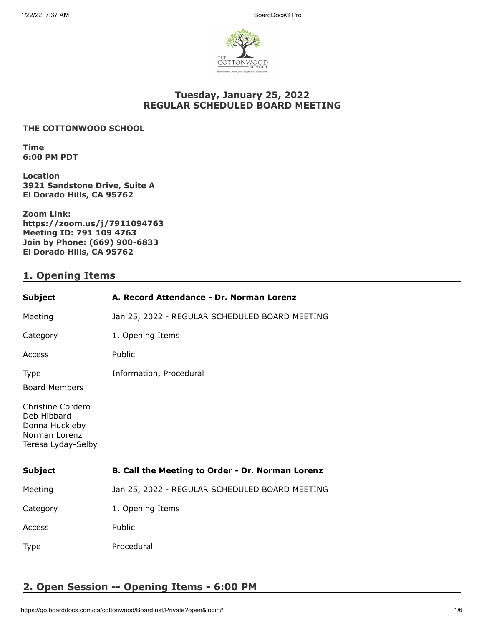

## **Tuesday, January 25, 2022 REGULAR SCHEDULED BOARD MEETING**

#### **THE COTTONWOOD SCHOOL**

**Time 6:00 PM PDT**

**Location 3921 Sandstone Drive, Suite A El Dorado Hills, CA 95762**

**Zoom Link: https://zoom.us/j/7911094763 Meeting ID: 791 109 4763 Join by Phone: (669) 900-6833 El Dorado Hills, CA 95762**

## **1. Opening Items**

| <b>Subject</b>                                                                            | A. Record Attendance - Dr. Norman Lorenz         |
|-------------------------------------------------------------------------------------------|--------------------------------------------------|
| Meeting                                                                                   | Jan 25, 2022 - REGULAR SCHEDULED BOARD MEETING   |
| Category                                                                                  | 1. Opening Items                                 |
| Access                                                                                    | Public                                           |
| <b>Type</b><br><b>Board Members</b>                                                       | Information, Procedural                          |
| Christine Cordero<br>Deb Hibbard<br>Donna Huckleby<br>Norman Lorenz<br>Teresa Lyday-Selby |                                                  |
| <b>Subject</b>                                                                            | B. Call the Meeting to Order - Dr. Norman Lorenz |
| Meeting                                                                                   | Jan 25, 2022 - REGULAR SCHEDULED BOARD MEETING   |
| Category                                                                                  | 1. Opening Items                                 |
| Access                                                                                    | Public                                           |
| <b>Type</b>                                                                               | Procedural                                       |

# **2. Open Session -- Opening Items - 6:00 PM**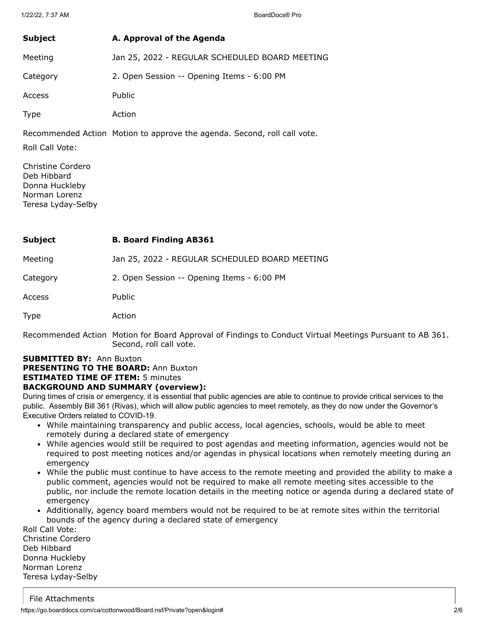| Subject     | A. Approval of the Agenda                      |
|-------------|------------------------------------------------|
| Meeting     | Jan 25, 2022 - REGULAR SCHEDULED BOARD MEETING |
| Category    | 2. Open Session -- Opening Items - 6:00 PM     |
| Access      | Public                                         |
| <b>Type</b> | Action                                         |

Recommended Action Motion to approve the agenda. Second, roll call vote.

Roll Call Vote:

Christine Cordero Deb Hibbard Donna Huckleby Norman Lorenz Teresa Lyday-Selby

| Subject | <b>B. Board Finding AB361</b> |
|---------|-------------------------------|
|---------|-------------------------------|

Meeting Jan 25, 2022 - REGULAR SCHEDULED BOARD MEETING

Category 2. Open Session -- Opening Items - 6:00 PM

Access Public

Type Action

Recommended Action Motion for Board Approval of Findings to Conduct Virtual Meetings Pursuant to AB 361. Second, roll call vote.

# **SUBMITTED BY:** Ann Buxton

**PRESENTING TO THE BOARD:** Ann Buxton

## **ESTIMATED TIME OF ITEM:** 5 minutes

### **BACKGROUND AND SUMMARY (overview):**

During times of crisis or emergency, it is essential that public agencies are able to continue to provide critical services to the public. Assembly Bill 361 (Rivas), which will allow public agencies to meet remotely, as they do now under the Governor's Executive Orders related to COVID-19.

- While maintaining transparency and public access, local agencies, schools, would be able to meet remotely during a declared state of emergency
- While agencies would still be required to post agendas and meeting information, agencies would not be required to post meeting notices and/or agendas in physical locations when remotely meeting during an emergency
- While the public must continue to have access to the remote meeting and provided the ability to make a public comment, agencies would not be required to make all remote meeting sites accessible to the public, nor include the remote location details in the meeting notice or agenda during a declared state of emergency
- Additionally, agency board members would not be required to be at remote sites within the territorial bounds of the agency during a declared state of emergency

Roll Call Vote: Christine Cordero Deb Hibbard Donna Huckleby Norman Lorenz Teresa Lyday-Selby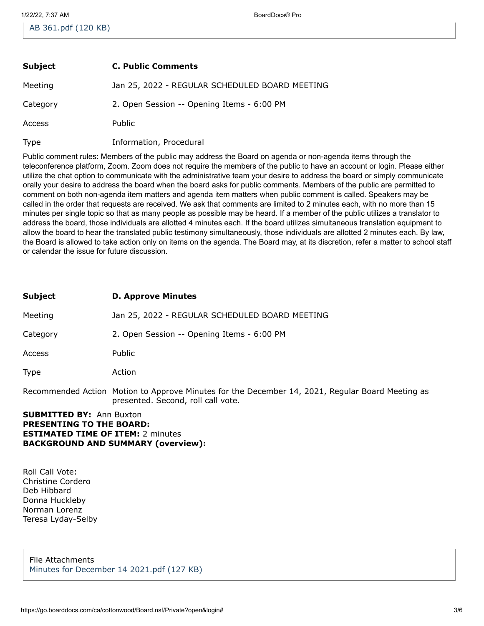| Subject     | <b>C. Public Comments</b>                      |
|-------------|------------------------------------------------|
| Meeting     | Jan 25, 2022 - REGULAR SCHEDULED BOARD MEETING |
| Category    | 2. Open Session -- Opening Items - 6:00 PM     |
| Access      | <b>Public</b>                                  |
| <b>Type</b> | Information, Procedural                        |

Public comment rules: Members of the public may address the Board on agenda or non-agenda items through the teleconference platform, Zoom. Zoom does not require the members of the public to have an account or login. Please either utilize the chat option to communicate with the administrative team your desire to address the board or simply communicate orally your desire to address the board when the board asks for public comments. Members of the public are permitted to comment on both non-agenda item matters and agenda item matters when public comment is called. Speakers may be called in the order that requests are received. We ask that comments are limited to 2 minutes each, with no more than 15 minutes per single topic so that as many people as possible may be heard. If a member of the public utilizes a translator to address the board, those individuals are allotted 4 minutes each. If the board utilizes simultaneous translation equipment to allow the board to hear the translated public testimony simultaneously, those individuals are allotted 2 minutes each. By law, the Board is allowed to take action only on items on the agenda. The Board may, at its discretion, refer a matter to school staff or calendar the issue for future discussion.

| Subject  | <b>D. Approve Minutes</b>                      |
|----------|------------------------------------------------|
| Meeting  | Jan 25, 2022 - REGULAR SCHEDULED BOARD MEETING |
| Category | 2. Open Session -- Opening Items - 6:00 PM     |
| Access   | Public                                         |
| Type     | Action                                         |

Recommended Action Motion to Approve Minutes for the December 14, 2021, Regular Board Meeting as presented. Second, roll call vote.

**SUBMITTED BY:** Ann Buxton **PRESENTING TO THE BOARD: ESTIMATED TIME OF ITEM:** 2 minutes **BACKGROUND AND SUMMARY (overview):**

Roll Call Vote: Christine Cordero Deb Hibbard Donna Huckleby Norman Lorenz Teresa Lyday-Selby

File Attachments [Minutes for December 14 2021.pdf \(127 KB\)](https://go.boarddocs.com/ca/cottonwood/Board.nsf/files/CADQHH690763/$file/Minutes%20for%20December%2014%202021.pdf)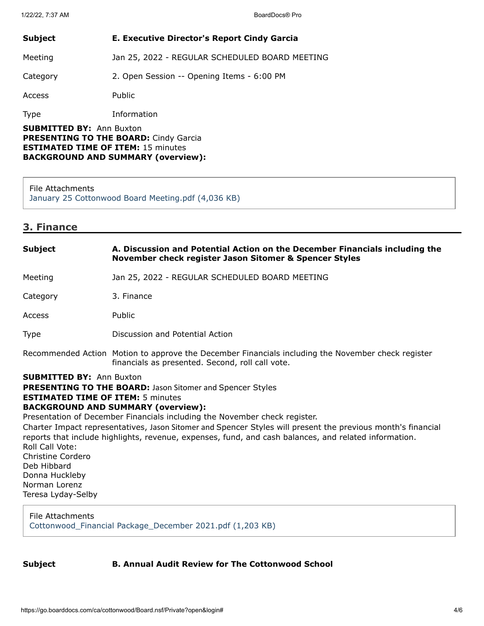| <b>Subject</b>                                                                                                | <b>E. Executive Director's Report Cindy Garcia</b> |
|---------------------------------------------------------------------------------------------------------------|----------------------------------------------------|
| Meeting                                                                                                       | Jan 25, 2022 - REGULAR SCHEDULED BOARD MEETING     |
| Category                                                                                                      | 2. Open Session -- Opening Items - 6:00 PM         |
| Access                                                                                                        | Public                                             |
| <b>Type</b>                                                                                                   | Information                                        |
| <b>SUBMITTED BY: Ann Buxton</b><br><b>DRECENTIME TO THE ROADD.</b> $C_{\alpha}$ , $C_{\alpha}$ , $C_{\alpha}$ |                                                    |

**PRESENTING TO THE BOARD:** Cindy Garcia **ESTIMATED TIME OF ITEM:** 15 minutes **BACKGROUND AND SUMMARY (overview):**

#### File Attachments

[January 25 Cottonwood Board Meeting.pdf \(4,036 KB\)](https://go.boarddocs.com/ca/cottonwood/Board.nsf/files/CAVUPQ72E720/$file/January%2025%20Cottonwood%20Board%20Meeting.pdf)

### **3. Finance**

## **SUBMITTED BY:** Ann Buxton **PRESENTING TO THE BOARD:** Jason Sitomer and Spencer Styles **ESTIMATED TIME OF ITEM:** 5 minutes **BACKGROUND AND SUMMARY (overview):** Presentation of December Financials including the November check register. Charter Impact representatives, Jason Sitomer and Spencer Styles will present the previous month's financial reports that include highlights, revenue, expenses, fund, and cash balances, and related information. Roll Call Vote: Christine Cordero Deb Hibbard Donna Huckleby Norman Lorenz Teresa Lyday-Selby **Subject A. Discussion and Potential Action on the December Financials including the November check register Jason Sitomer & Spencer Styles** Meeting Jan 25, 2022 - REGULAR SCHEDULED BOARD MEETING Category 3. Finance Access Public Type Discussion and Potential Action Recommended Action Motion to approve the December Financials including the November check register financials as presented. Second, roll call vote.

File Attachments [Cottonwood\\_Financial Package\\_December 2021.pdf \(1,203 KB\)](https://go.boarddocs.com/ca/cottonwood/Board.nsf/files/CAVQTK686E5C/$file/Cottonwood_Financial%20Package_December%202021.pdf)

### **Subject B. Annual Audit Review for The Cottonwood School**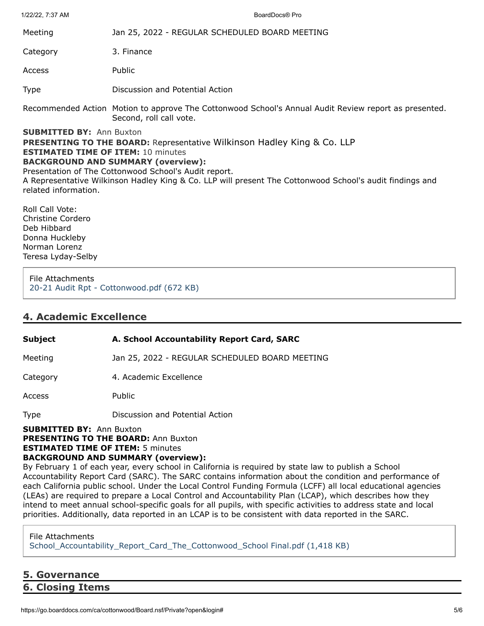1/22/22, 7:37 AM BoardDocs® Pro

| Meeting  | Jan 25, 2022 - REGULAR SCHEDULED BOARD MEETING |
|----------|------------------------------------------------|
| Category | 3. Finance                                     |

Access Public

Type Discussion and Potential Action

Recommended Action Motion to approve The Cottonwood School's Annual Audit Review report as presented. Second, roll call vote.

**SUBMITTED BY:** Ann Buxton

**PRESENTING TO THE BOARD:** Representative Wilkinson Hadley King & Co. LLP **ESTIMATED TIME OF ITEM:** 10 minutes

### **BACKGROUND AND SUMMARY (overview):**

Presentation of The Cottonwood School's Audit report.

A Representative Wilkinson Hadley King & Co. LLP will present The Cottonwood School's audit findings and related information.

Roll Call Vote: Christine Cordero Deb Hibbard Donna Huckleby Norman Lorenz Teresa Lyday-Selby

File Attachments [20-21 Audit Rpt - Cottonwood.pdf \(672 KB\)](https://go.boarddocs.com/ca/cottonwood/Board.nsf/files/CAWL7F5529FC/$file/20-21%20Audit%20Rpt%20-%20Cottonwood.pdf)

## **4. Academic Excellence**

## **Subject A. School Accountability Report Card, SARC**

Meeting Jan 25, 2022 - REGULAR SCHEDULED BOARD MEETING

Category 4. Academic Excellence

Access Public

Type Discussion and Potential Action

### **SUBMITTED BY:** Ann Buxton

**PRESENTING TO THE BOARD: Ann Buxton** 

**ESTIMATED TIME OF ITEM:** 5 minutes

## **BACKGROUND AND SUMMARY (overview):**

By February 1 of each year, every school in California is required by state law to publish a School Accountability Report Card (SARC). The SARC contains information about the condition and performance of each California public school. Under the Local Control Funding Formula (LCFF) all local educational agencies (LEAs) are required to prepare a Local Control and Accountability Plan (LCAP), which describes how they intend to meet annual school-specific goals for all pupils, with specific activities to address state and local priorities. Additionally, data reported in an LCAP is to be consistent with data reported in the SARC.

### File Attachments

[School\\_Accountability\\_Report\\_Card\\_The\\_Cottonwood\\_School Final.pdf \(1,418 KB\)](https://go.boarddocs.com/ca/cottonwood/Board.nsf/files/CAWL75551E48/$file/School_Accountability_Report_Card_The_Cottonwood_School%20Final.pdf)

**5. Governance 6. Closing Items**